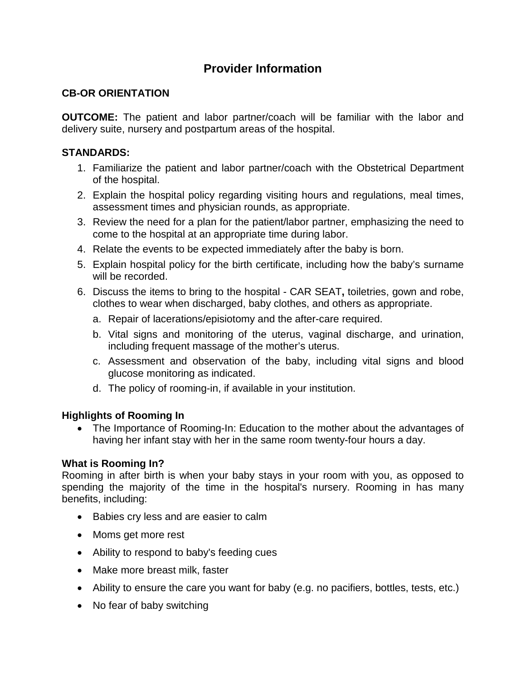# **Provider Information**

## **CB-OR ORIENTATION**

**OUTCOME:** The patient and labor partner/coach will be familiar with the labor and delivery suite, nursery and postpartum areas of the hospital.

### **STANDARDS:**

- 1. Familiarize the patient and labor partner/coach with the Obstetrical Department of the hospital.
- 2. Explain the hospital policy regarding visiting hours and regulations, meal times, assessment times and physician rounds, as appropriate.
- 3. Review the need for a plan for the patient/labor partner, emphasizing the need to come to the hospital at an appropriate time during labor.
- 4. Relate the events to be expected immediately after the baby is born.
- 5. Explain hospital policy for the birth certificate, including how the baby's surname will be recorded.
- 6. Discuss the items to bring to the hospital CAR SEAT**,** toiletries, gown and robe, clothes to wear when discharged, baby clothes, and others as appropriate.
	- a. Repair of lacerations/episiotomy and the after-care required.
	- b. Vital signs and monitoring of the uterus, vaginal discharge, and urination, including frequent massage of the mother's uterus.
	- c. Assessment and observation of the baby, including vital signs and blood glucose monitoring as indicated.
	- d. The policy of rooming-in, if available in your institution.

### **Highlights of Rooming In**

• The Importance of Rooming-In: Education to the mother about the advantages of having her infant stay with her in the same room twenty-four hours a day.

### **What is Rooming In?**

Rooming in after birth is when your baby stays in your room with you, as opposed to spending the majority of the time in the hospital's nursery. Rooming in has many benefits, including:

- Babies cry less and are easier to calm
- Moms get more rest
- Ability to respond to baby's feeding cues
- Make more breast milk, faster
- Ability to ensure the care you want for baby (e.g. no pacifiers, bottles, tests, etc.)
- No fear of baby switching